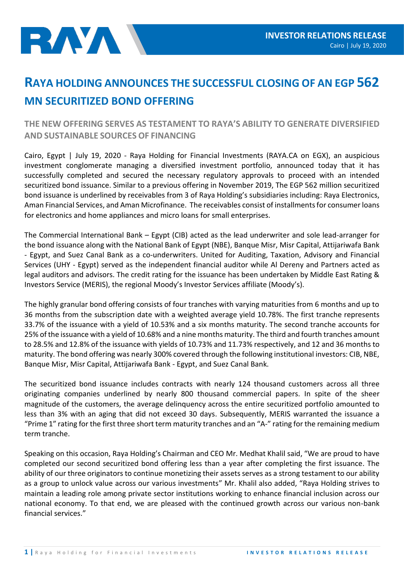

## **RAYA HOLDING ANNOUNCES THE SUCCESSFUL CLOSING OF AN EGP 562 MN SECURITIZED BOND OFFERING**

## **THE NEW OFFERING SERVES AS TESTAMENT TO RAYA'S ABILITY TO GENERATE DIVERSIFIED AND SUSTAINABLE SOURCES OF FINANCING**

Cairo, Egypt | July 19, 2020 - Raya Holding for Financial Investments (RAYA.CA on EGX), an auspicious investment conglomerate managing a diversified investment portfolio, announced today that it has successfully completed and secured the necessary regulatory approvals to proceed with an intended securitized bond issuance. Similar to a previous offering in November 2019, The EGP 562 million securitized bond issuance is underlined by receivables from 3 of Raya Holding's subsidiaries including: Raya Electronics, Aman Financial Services, and Aman Microfinance. The receivables consist of installments for consumer loans for electronics and home appliances and micro loans for small enterprises.

The Commercial International Bank – Egypt (CIB) acted as the lead underwriter and sole lead-arranger for the bond issuance along with the National Bank of Egypt (NBE), Banque Misr, Misr Capital, Attijariwafa Bank - Egypt, and Suez Canal Bank as a co-underwriters. United for Auditing, Taxation, Advisory and Financial Services (UHY - Egypt) served as the independent financial auditor while Al Dereny and Partners acted as legal auditors and advisors. The credit rating for the issuance has been undertaken by Middle East Rating & Investors Service (MERIS), the regional Moody's Investor Services affiliate (Moody's).

The highly granular bond offering consists of four tranches with varying maturities from 6 months and up to 36 months from the subscription date with a weighted average yield 10.78%. The first tranche represents 33.7% of the issuance with a yield of 10.53% and a six months maturity. The second tranche accounts for 25% of the issuance with a yield of 10.68% and a nine months maturity. The third and fourth tranches amount to 28.5% and 12.8% of the issuance with yields of 10.73% and 11.73% respectively, and 12 and 36 months to maturity. The bond offering was nearly 300% covered through the following institutional investors: CIB, NBE, Banque Misr, Misr Capital, Attijariwafa Bank - Egypt, and Suez Canal Bank.

The securitized bond issuance includes contracts with nearly 124 thousand customers across all three originating companies underlined by nearly 800 thousand commercial papers. In spite of the sheer magnitude of the customers, the average delinquency across the entire securitized portfolio amounted to less than 3% with an aging that did not exceed 30 days. Subsequently, MERIS warranted the issuance a "Prime 1" rating for the first three short term maturity tranches and an "A-" rating for the remaining medium term tranche.

Speaking on this occasion, Raya Holding's Chairman and CEO Mr. Medhat Khalil said, "We are proud to have completed our second securitized bond offering less than a year after completing the first issuance. The ability of our three originators to continue monetizing their assets serves as a strong testament to our ability as a group to unlock value across our various investments" Mr. Khalil also added, "Raya Holding strives to maintain a leading role among private sector institutions working to enhance financial inclusion across our national economy. To that end, we are pleased with the continued growth across our various non-bank financial services."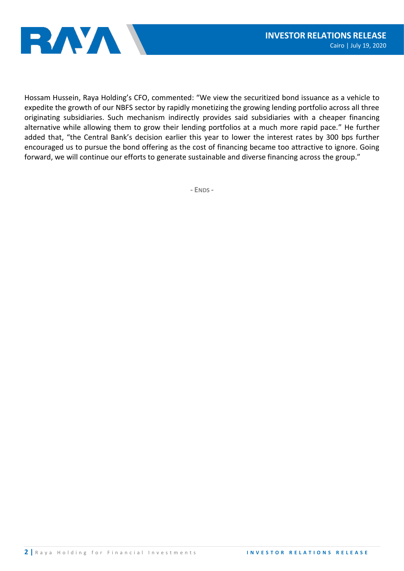

Hossam Hussein, Raya Holding's CFO, commented: "We view the securitized bond issuance as a vehicle to expedite the growth of our NBFS sector by rapidly monetizing the growing lending portfolio across all three originating subsidiaries. Such mechanism indirectly provides said subsidiaries with a cheaper financing alternative while allowing them to grow their lending portfolios at a much more rapid pace." He further added that, "the Central Bank's decision earlier this year to lower the interest rates by 300 bps further encouraged us to pursue the bond offering as the cost of financing became too attractive to ignore. Going forward, we will continue our efforts to generate sustainable and diverse financing across the group."

**- ENDS -**